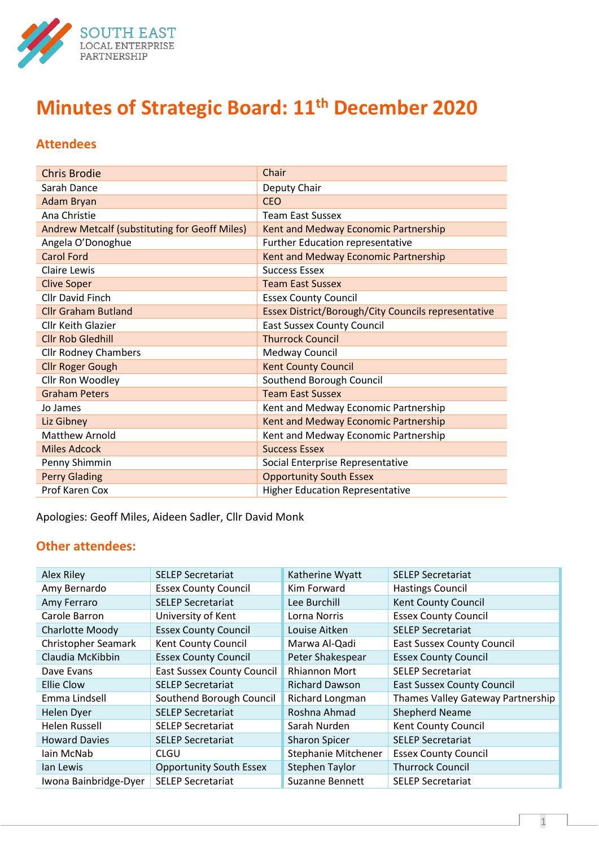

# **Minutes of Strategic Board: 11th December 2020**

# **Attendees**

| <b>Chris Brodie</b>                           | Chair                                               |
|-----------------------------------------------|-----------------------------------------------------|
| Sarah Dance                                   | Deputy Chair                                        |
| <b>Adam Bryan</b>                             | <b>CEO</b>                                          |
| Ana Christie                                  | <b>Team East Sussex</b>                             |
| Andrew Metcalf (substituting for Geoff Miles) | Kent and Medway Economic Partnership                |
| Angela O'Donoghue                             | Further Education representative                    |
| <b>Carol Ford</b>                             | Kent and Medway Economic Partnership                |
| Claire Lewis                                  | <b>Success Essex</b>                                |
| <b>Clive Soper</b>                            | <b>Team East Sussex</b>                             |
| <b>Cllr David Finch</b>                       | <b>Essex County Council</b>                         |
| <b>Cllr Graham Butland</b>                    | Essex District/Borough/City Councils representative |
| <b>Cllr Keith Glazier</b>                     | <b>East Sussex County Council</b>                   |
| <b>Cllr Rob Gledhill</b>                      | <b>Thurrock Council</b>                             |
| <b>Cllr Rodney Chambers</b>                   | Medway Council                                      |
| <b>Cllr Roger Gough</b>                       | <b>Kent County Council</b>                          |
| Cllr Ron Woodley                              | Southend Borough Council                            |
| <b>Graham Peters</b>                          | <b>Team East Sussex</b>                             |
| Jo James                                      | Kent and Medway Economic Partnership                |
| Liz Gibney                                    | Kent and Medway Economic Partnership                |
| <b>Matthew Arnold</b>                         | Kent and Medway Economic Partnership                |
| <b>Miles Adcock</b>                           | <b>Success Essex</b>                                |
| Penny Shimmin                                 | Social Enterprise Representative                    |
| <b>Perry Glading</b>                          | <b>Opportunity South Essex</b>                      |
| Prof Karen Cox                                | <b>Higher Education Representative</b>              |

Apologies: Geoff Miles, Aideen Sadler, Cllr David Monk

# **Other attendees:**

| Alex Riley             | <b>SELEP Secretariat</b>          | Katherine Wyatt        | <b>SELEP Secretariat</b>          |
|------------------------|-----------------------------------|------------------------|-----------------------------------|
| Amy Bernardo           | <b>Essex County Council</b>       | Kim Forward            | <b>Hastings Council</b>           |
| Amy Ferraro            | <b>SELEP Secretariat</b>          | Lee Burchill           | <b>Kent County Council</b>        |
| Carole Barron          | University of Kent                | Lorna Norris           | <b>Essex County Council</b>       |
| <b>Charlotte Moody</b> | <b>Essex County Council</b>       | Louise Aitken          | <b>SELEP Secretariat</b>          |
| Christopher Seamark    | Kent County Council               | Marwa Al-Qadi          | <b>East Sussex County Council</b> |
| Claudia McKibbin       | <b>Essex County Council</b>       | Peter Shakespear       | <b>Essex County Council</b>       |
| Dave Evans             | <b>East Sussex County Council</b> | Rhiannon Mort          | <b>SELEP Secretariat</b>          |
| Ellie Clow             | <b>SELEP Secretariat</b>          | <b>Richard Dawson</b>  | <b>East Sussex County Council</b> |
| Emma Lindsell          | Southend Borough Council          | Richard Longman        | Thames Valley Gateway Partnership |
| Helen Dyer             | <b>SELEP Secretariat</b>          | Roshna Ahmad           | <b>Shepherd Neame</b>             |
| <b>Helen Russell</b>   | <b>SELEP Secretariat</b>          | Sarah Nurden           | Kent County Council               |
| <b>Howard Davies</b>   | <b>SELEP Secretariat</b>          | <b>Sharon Spicer</b>   | <b>SELEP Secretariat</b>          |
| lain McNab             | <b>CLGU</b>                       | Stephanie Mitchener    | <b>Essex County Council</b>       |
| lan Lewis              | <b>Opportunity South Essex</b>    | <b>Stephen Taylor</b>  | <b>Thurrock Council</b>           |
| Iwona Bainbridge-Dyer  | <b>SELEP Secretariat</b>          | <b>Suzanne Bennett</b> | <b>SELEP Secretariat</b>          |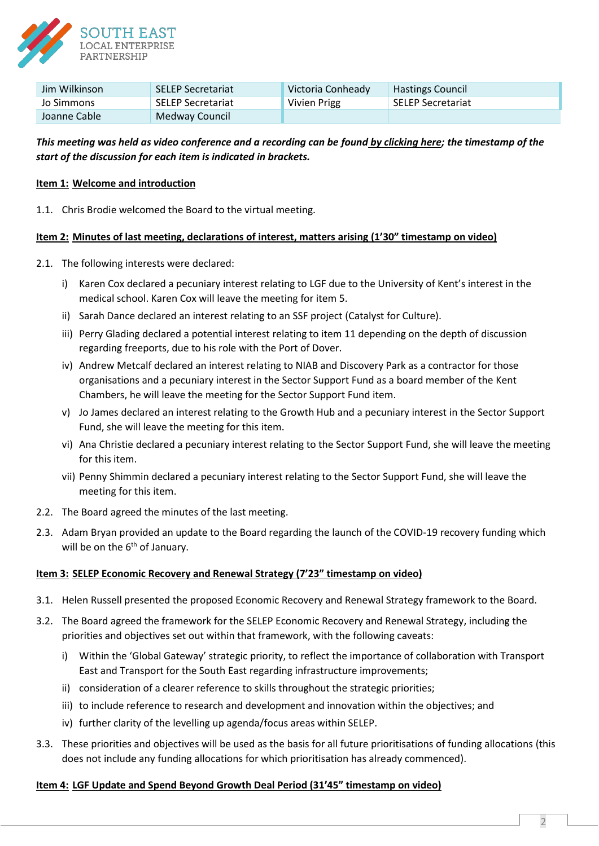

| Jim Wilkinson | <b>SELEP Secretariat</b> | Victoria Conheady | <b>Hastings Council</b>  |
|---------------|--------------------------|-------------------|--------------------------|
| Jo Simmons    | SELEP Secretariat        | Vivien Prigg      | <b>SELEP Secretariat</b> |
| Joanne Cable  | Medway Council           |                   |                          |

# *This meeting was held as video conference and a recording can be found [by clicking here;](https://www.southeastlep.com/meetings/strategic-board-11th-december-2020/) the timestamp of the start of the discussion for each item is indicated in brackets.*

# **Item 1: Welcome and introduction**

1.1. Chris Brodie welcomed the Board to the virtual meeting.

## **Item 2: Minutes of last meeting, declarations of interest, matters arising (1'30" timestamp on video)**

- 2.1. The following interests were declared:
	- i) Karen Cox declared a pecuniary interest relating to LGF due to the University of Kent's interest in the medical school. Karen Cox will leave the meeting for item 5.
	- ii) Sarah Dance declared an interest relating to an SSF project (Catalyst for Culture).
	- iii) Perry Glading declared a potential interest relating to item 11 depending on the depth of discussion regarding freeports, due to his role with the Port of Dover.
	- iv) Andrew Metcalf declared an interest relating to NIAB and Discovery Park as a contractor for those organisations and a pecuniary interest in the Sector Support Fund as a board member of the Kent Chambers, he will leave the meeting for the Sector Support Fund item.
	- v) Jo James declared an interest relating to the Growth Hub and a pecuniary interest in the Sector Support Fund, she will leave the meeting for this item.
	- vi) Ana Christie declared a pecuniary interest relating to the Sector Support Fund, she will leave the meeting for this item.
	- vii) Penny Shimmin declared a pecuniary interest relating to the Sector Support Fund, she will leave the meeting for this item.
- 2.2. The Board agreed the minutes of the last meeting.
- 2.3. Adam Bryan provided an update to the Board regarding the launch of the COVID-19 recovery funding which will be on the  $6<sup>th</sup>$  of January.

## **Item 3: SELEP Economic Recovery and Renewal Strategy (7'23" timestamp on video)**

- 3.1. Helen Russell presented the proposed Economic Recovery and Renewal Strategy framework to the Board.
- 3.2. The Board agreed the framework for the SELEP Economic Recovery and Renewal Strategy, including the priorities and objectives set out within that framework, with the following caveats:
	- i) Within the 'Global Gateway' strategic priority, to reflect the importance of collaboration with Transport East and Transport for the South East regarding infrastructure improvements;
	- ii) consideration of a clearer reference to skills throughout the strategic priorities;
	- iii) to include reference to research and development and innovation within the objectives; and
	- iv) further clarity of the levelling up agenda/focus areas within SELEP.
- 3.3. These priorities and objectives will be used as the basis for all future prioritisations of funding allocations (this does not include any funding allocations for which prioritisation has already commenced).

## **Item 4: LGF Update and Spend Beyond Growth Deal Period (31'45" timestamp on video)**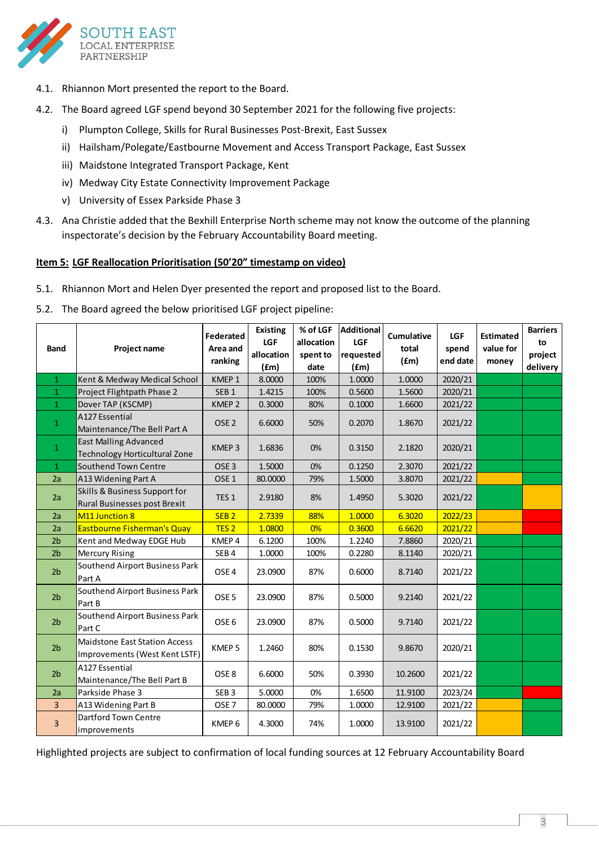

- 4.1. Rhiannon Mort presented the report to the Board.
- 4.2. The Board agreed LGF spend beyond 30 September 2021 for the following five projects:
	- i) Plumpton College, Skills for Rural Businesses Post-Brexit, East Sussex
	- ii) Hailsham/Polegate/Eastbourne Movement and Access Transport Package, East Sussex
	- iii) Maidstone Integrated Transport Package, Kent
	- iv) Medway City Estate Connectivity Improvement Package
	- v) University of Essex Parkside Phase 3
- 4.3. Ana Christie added that the Bexhill Enterprise North scheme may not know the outcome of the planning inspectorate's decision by the February Accountability Board meeting.

## **Item 5: LGF Reallocation Prioritisation (50'20" timestamp on video)**

- 5.1. Rhiannon Mort and Helen Dyer presented the report and proposed list to the Board.
- 5.2. The Board agreed the below prioritised LGF project pipeline:

| <b>Band</b>    | Project name                                                          | Federated<br>Area and<br>ranking | <b>Existing</b><br>LGF<br>allocation<br>(fm) | allocation<br>spent to<br>date | % of LGF   Additional<br>LGF<br>requested<br>(fm) | Cumulative<br>total<br>(fm) | <b>LGF</b><br>spend<br>end date | <b>Estimated</b><br>value for<br>money | <b>Barriers</b><br>to<br>project<br>delivery |
|----------------|-----------------------------------------------------------------------|----------------------------------|----------------------------------------------|--------------------------------|---------------------------------------------------|-----------------------------|---------------------------------|----------------------------------------|----------------------------------------------|
| $\mathbf{1}$   | Kent & Medway Medical School                                          | KMEP 1                           | 8.0000                                       | 100%                           | 1.0000                                            | 1.0000                      | 2020/21                         |                                        |                                              |
| $\mathbf{1}$   | Project Flightpath Phase 2                                            | SEB <sub>1</sub>                 | 1.4215                                       | 100%                           | 0.5600                                            | 1.5600                      | 2020/21                         |                                        |                                              |
| $\mathbf{1}$   | Dover TAP (KSCMP)                                                     | KMEP <sub>2</sub>                | 0.3000                                       | 80%                            | 0.1000                                            | 1.6600                      | 2021/22                         |                                        |                                              |
| $\mathbf 1$    | A127 Essential<br>Maintenance/The Bell Part A                         | OSE <sub>2</sub>                 | 6.6000                                       | 50%                            | 0.2070                                            | 1.8670                      | 2021/22                         |                                        |                                              |
| $\mathbf{1}$   | <b>East Malling Advanced</b><br><b>Technology Horticultural Zone</b>  | KMEP <sub>3</sub>                | 1.6836                                       | 0%                             | 0.3150                                            | 2.1820                      | 2020/21                         |                                        |                                              |
| $\mathbf{1}$   | Southend Town Centre                                                  | OSE <sub>3</sub>                 | 1.5000                                       | 0%                             | 0.1250                                            | 2.3070                      | 2021/22                         |                                        |                                              |
| 2a             | A13 Widening Part A                                                   | OSE <sub>1</sub>                 | 80.0000                                      | 79%                            | 1.5000                                            | 3.8070                      | 2021/22                         |                                        |                                              |
| 2a             | Skills & Business Support for<br>Rural Businesses post Brexit         | TES <sub>1</sub>                 | 2.9180                                       | 8%                             | 1.4950                                            | 5.3020                      | 2021/22                         |                                        |                                              |
| 2a             | M11 Junction 8                                                        | SEB <sub>2</sub>                 | 2.7339                                       | 88%                            | 1.0000                                            | 6.3020                      | 2022/23                         |                                        |                                              |
| 2a             | Eastbourne Fisherman's Quay                                           | TES <sub>2</sub>                 | 1.0800                                       | 0%                             | 0.3600                                            | 6.6620                      | 2021/22                         |                                        |                                              |
| 2 <sub>b</sub> | Kent and Medway EDGE Hub                                              | KMEP 4                           | 6.1200                                       | 100%                           | 1.2240                                            | 7.8860                      | 2020/21                         |                                        |                                              |
| 2 <sub>b</sub> | <b>Mercury Rising</b>                                                 | SEB <sub>4</sub>                 | 1.0000                                       | 100%                           | 0.2280                                            | 8.1140                      | 2020/21                         |                                        |                                              |
| 2 <sub>b</sub> | Southend Airport Business Park<br>Part A                              | OSE <sub>4</sub>                 | 23.0900                                      | 87%                            | 0.6000                                            | 8.7140                      | 2021/22                         |                                        |                                              |
| 2 <sub>b</sub> | Southend Airport Business Park<br>Part B                              | OSE <sub>5</sub>                 | 23.0900                                      | 87%                            | 0.5000                                            | 9.2140                      | 2021/22                         |                                        |                                              |
| 2 <sub>b</sub> | Southend Airport Business Park<br>Part C                              | OSE <sub>6</sub>                 | 23.0900                                      | 87%                            | 0.5000                                            | 9.7140                      | 2021/22                         |                                        |                                              |
| 2 <sub>b</sub> | <b>Maidstone East Station Access</b><br>Improvements (West Kent LSTF) | KMEP <sub>5</sub>                | 1.2460                                       | 80%                            | 0.1530                                            | 9.8670                      | 2020/21                         |                                        |                                              |
| 2 <sub>b</sub> | A127 Essential<br>Maintenance/The Bell Part B                         | OSE <sub>8</sub>                 | 6.6000                                       | 50%                            | 0.3930                                            | 10.2600                     | 2021/22                         |                                        |                                              |
| 2a             | Parkside Phase 3                                                      | SEB <sub>3</sub>                 | 5.0000                                       | 0%                             | 1.6500                                            | 11.9100                     | 2023/24                         |                                        |                                              |
| 3              | A13 Widening Part B                                                   | OSE <sub>7</sub>                 | 80.0000                                      | 79%                            | 1.0000                                            | 12.9100                     | 2021/22                         |                                        |                                              |
| 3              | Dartford Town Centre<br>improvements                                  | KMEP 6                           | 4.3000                                       | 74%                            | 1.0000                                            | 13.9100                     | 2021/22                         |                                        |                                              |

Highlighted projects are subject to confirmation of local funding sources at 12 February Accountability Board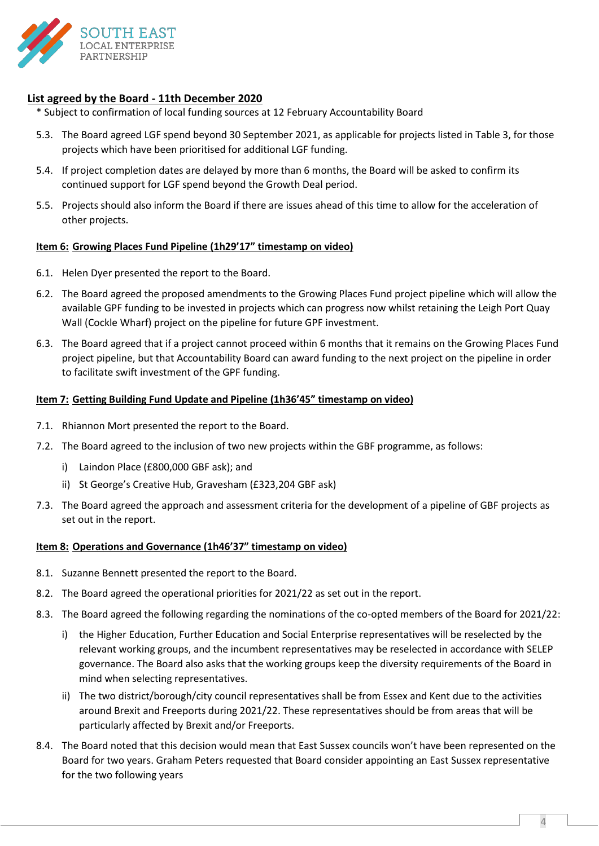

# **List agreed by the Board - 11th December 2020**

- \* Subject to confirmation of local funding sources at 12 February Accountability Board
- 5.3. The Board agreed LGF spend beyond 30 September 2021, as applicable for projects listed in Table 3, for those projects which have been prioritised for additional LGF funding.
- 5.4. If project completion dates are delayed by more than 6 months, the Board will be asked to confirm its continued support for LGF spend beyond the Growth Deal period.
- 5.5. Projects should also inform the Board if there are issues ahead of this time to allow for the acceleration of other projects.

## **Item 6: Growing Places Fund Pipeline (1h29'17" timestamp on video)**

- 6.1. Helen Dyer presented the report to the Board.
- 6.2. The Board agreed the proposed amendments to the Growing Places Fund project pipeline which will allow the available GPF funding to be invested in projects which can progress now whilst retaining the Leigh Port Quay Wall (Cockle Wharf) project on the pipeline for future GPF investment.
- 6.3. The Board agreed that if a project cannot proceed within 6 months that it remains on the Growing Places Fund project pipeline, but that Accountability Board can award funding to the next project on the pipeline in order to facilitate swift investment of the GPF funding.

#### **Item 7: Getting Building Fund Update and Pipeline (1h36'45" timestamp on video)**

- 7.1. Rhiannon Mort presented the report to the Board.
- 7.2. The Board agreed to the inclusion of two new projects within the GBF programme, as follows:
	- i) Laindon Place (£800,000 GBF ask); and
	- ii) St George's Creative Hub, Gravesham (£323,204 GBF ask)
- 7.3. The Board agreed the approach and assessment criteria for the development of a pipeline of GBF projects as set out in the report.

#### **Item 8: Operations and Governance (1h46'37" timestamp on video)**

- 8.1. Suzanne Bennett presented the report to the Board.
- 8.2. The Board agreed the operational priorities for 2021/22 as set out in the report.
- 8.3. The Board agreed the following regarding the nominations of the co-opted members of the Board for 2021/22:
	- i) the Higher Education, Further Education and Social Enterprise representatives will be reselected by the relevant working groups, and the incumbent representatives may be reselected in accordance with SELEP governance. The Board also asks that the working groups keep the diversity requirements of the Board in mind when selecting representatives.
	- ii) The two district/borough/city council representatives shall be from Essex and Kent due to the activities around Brexit and Freeports during 2021/22. These representatives should be from areas that will be particularly affected by Brexit and/or Freeports.
- 8.4. The Board noted that this decision would mean that East Sussex councils won't have been represented on the Board for two years. Graham Peters requested that Board consider appointing an East Sussex representative for the two following years